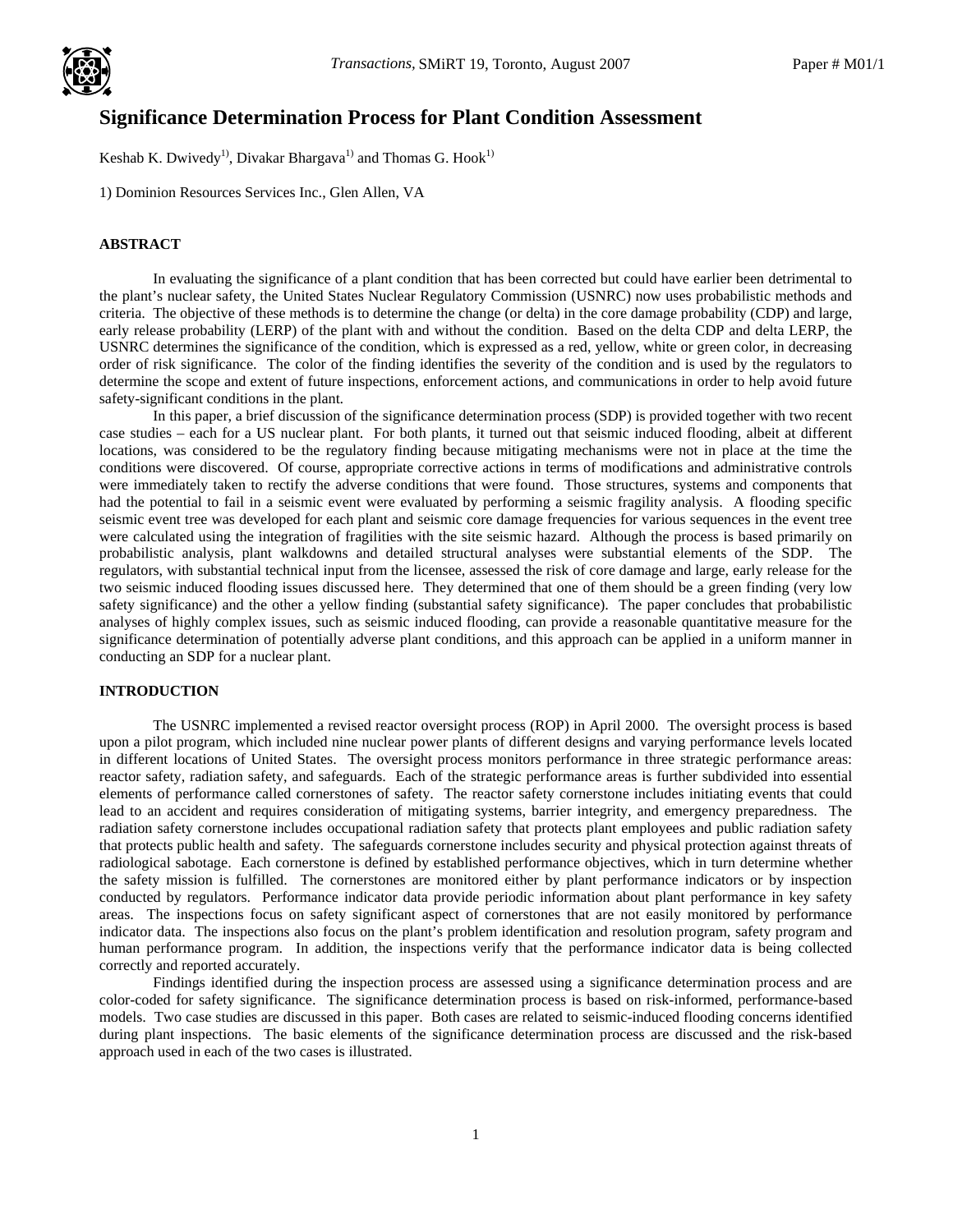

# **Significance Determination Process for Plant Condition Assessment**  .

Keshab K. Dwivedy<sup>1)</sup>, Divakar Bhargava<sup>1)</sup> and Thomas G. Hook<sup>1)</sup>

1) Dominion Resources Services Inc., Glen Allen, VA

## **ABSTRACT**

 In evaluating the significance of a plant condition that has been corrected but could have earlier been detrimental to the plant's nuclear safety, the United States Nuclear Regulatory Commission (USNRC) now uses probabilistic methods and criteria. The objective of these methods is to determine the change (or delta) in the core damage probability (CDP) and large, early release probability (LERP) of the plant with and without the condition. Based on the delta CDP and delta LERP, the USNRC determines the significance of the condition, which is expressed as a red, yellow, white or green color, in decreasing order of risk significance. The color of the finding identifies the severity of the condition and is used by the regulators to determine the scope and extent of future inspections, enforcement actions, and communications in order to help avoid future safety-significant conditions in the plant.

 In this paper, a brief discussion of the significance determination process (SDP) is provided together with two recent case studies – each for a US nuclear plant. For both plants, it turned out that seismic induced flooding, albeit at different locations, was considered to be the regulatory finding because mitigating mechanisms were not in place at the time the conditions were discovered. Of course, appropriate corrective actions in terms of modifications and administrative controls were immediately taken to rectify the adverse conditions that were found. Those structures, systems and components that had the potential to fail in a seismic event were evaluated by performing a seismic fragility analysis. A flooding specific seismic event tree was developed for each plant and seismic core damage frequencies for various sequences in the event tree were calculated using the integration of fragilities with the site seismic hazard. Although the process is based primarily on probabilistic analysis, plant walkdowns and detailed structural analyses were substantial elements of the SDP. The regulators, with substantial technical input from the licensee, assessed the risk of core damage and large, early release for the two seismic induced flooding issues discussed here. They determined that one of them should be a green finding (very low safety significance) and the other a yellow finding (substantial safety significance). The paper concludes that probabilistic analyses of highly complex issues, such as seismic induced flooding, can provide a reasonable quantitative measure for the significance determination of potentially adverse plant conditions, and this approach can be applied in a uniform manner in conducting an SDP for a nuclear plant.

## **INTRODUCTION**

The USNRC implemented a revised reactor oversight process (ROP) in April 2000. The oversight process is based upon a pilot program, which included nine nuclear power plants of different designs and varying performance levels located in different locations of United States. The oversight process monitors performance in three strategic performance areas: reactor safety, radiation safety, and safeguards. Each of the strategic performance areas is further subdivided into essential elements of performance called cornerstones of safety. The reactor safety cornerstone includes initiating events that could lead to an accident and requires consideration of mitigating systems, barrier integrity, and emergency preparedness. The radiation safety cornerstone includes occupational radiation safety that protects plant employees and public radiation safety that protects public health and safety. The safeguards cornerstone includes security and physical protection against threats of radiological sabotage. Each cornerstone is defined by established performance objectives, which in turn determine whether the safety mission is fulfilled. The cornerstones are monitored either by plant performance indicators or by inspection conducted by regulators. Performance indicator data provide periodic information about plant performance in key safety areas. The inspections focus on safety significant aspect of cornerstones that are not easily monitored by performance indicator data. The inspections also focus on the plant's problem identification and resolution program, safety program and human performance program. In addition, the inspections verify that the performance indicator data is being collected correctly and reported accurately.

 Findings identified during the inspection process are assessed using a significance determination process and are color-coded for safety significance. The significance determination process is based on risk-informed, performance-based models. Two case studies are discussed in this paper. Both cases are related to seismic-induced flooding concerns identified during plant inspections. The basic elements of the significance determination process are discussed and the risk-based approach used in each of the two cases is illustrated.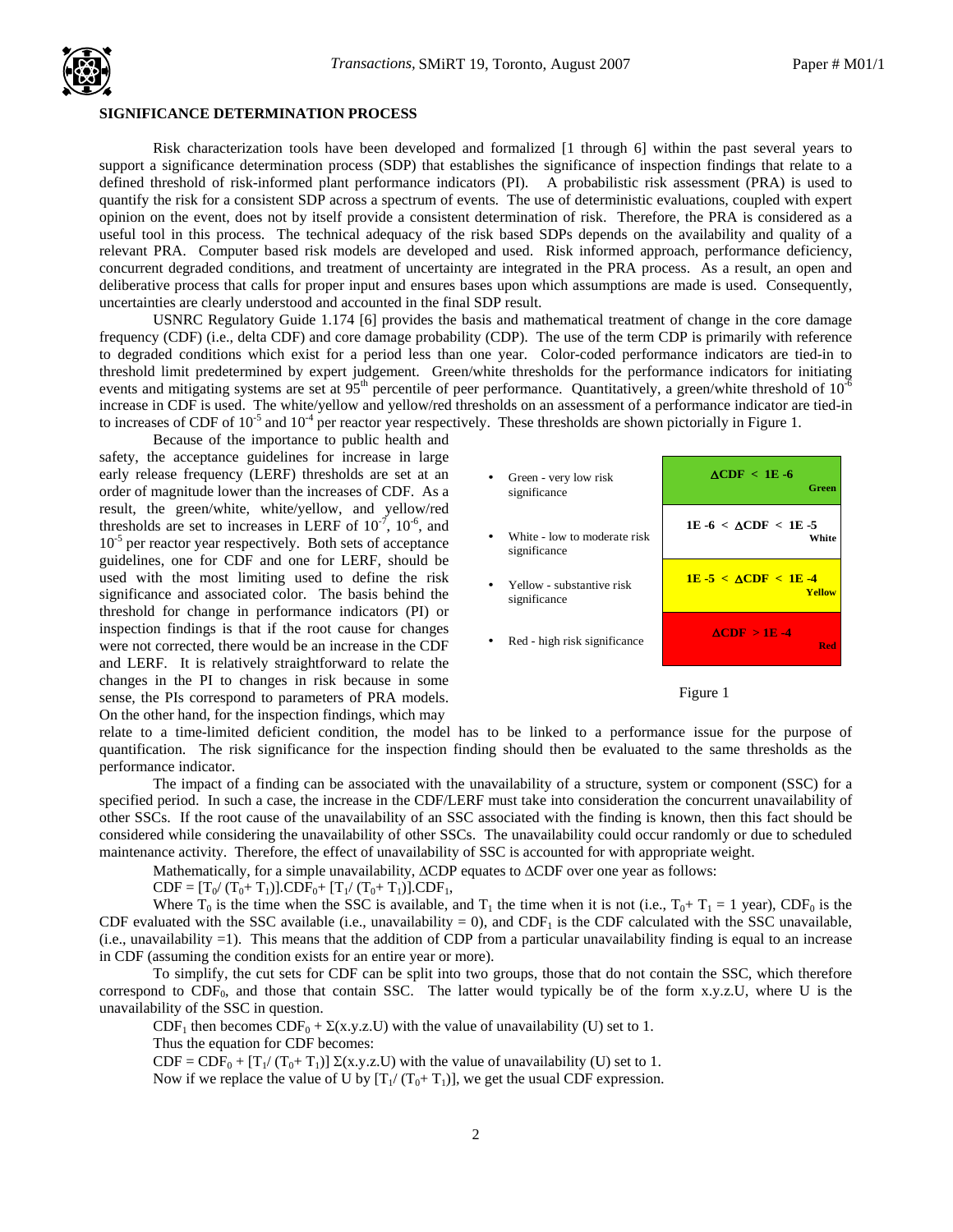## **SIGNIFICANCE DETERMINATION PROCESS**  .

Risk characterization tools have been developed and formalized [1 through 6] within the past several years to support a significance determination process (SDP) that establishes the significance of inspection findings that relate to a defined threshold of risk-informed plant performance indicators (PI). A probabilistic risk assessment (PRA) is used to quantify the risk for a consistent SDP across a spectrum of events. The use of deterministic evaluations, coupled with expert opinion on the event, does not by itself provide a consistent determination of risk. Therefore, the PRA is considered as a useful tool in this process. The technical adequacy of the risk based SDPs depends on the availability and quality of a relevant PRA. Computer based risk models are developed and used. Risk informed approach, performance deficiency, concurrent degraded conditions, and treatment of uncertainty are integrated in the PRA process. As a result, an open and deliberative process that calls for proper input and ensures bases upon which assumptions are made is used. Consequently, uncertainties are clearly understood and accounted in the final SDP result.

USNRC Regulatory Guide 1.174 [6] provides the basis and mathematical treatment of change in the core damage frequency (CDF) (i.e., delta CDF) and core damage probability (CDP). The use of the term CDP is primarily with reference to degraded conditions which exist for a period less than one year. Color-coded performance indicators are tied-in to threshold limit predetermined by expert judgement. Green/white thresholds for the performance indicators for initiating events and mitigating systems are set at 95<sup>th</sup> percentile of peer performance. Quantitatively, a green/white threshold of  $10^{-6}$ increase in CDF is used. The white/yellow and yellow/red thresholds on an assessment of a performance indicator are tied-in to increases of CDF of  $10^{-5}$  and  $10^{-4}$  per reactor year respectively. These thresholds are shown pictorially in Figure 1.

Because of the importance to public health and safety, the acceptance guidelines for increase in large early release frequency (LERF) thresholds are set at an order of magnitude lower than the increases of CDF. As a result, the green/white, white/yellow, and yellow/red thresholds are set to increases in LERF of  $10^{-7}$ ,  $10^{-6}$ , and  $10^{-5}$  per reactor year respectively. Both sets of acceptance guidelines, one for CDF and one for LERF, should be used with the most limiting used to define the risk significance and associated color. The basis behind the threshold for change in performance indicators (PI) or inspection findings is that if the root cause for changes were not corrected, there would be an increase in the CDF and LERF. It is relatively straightforward to relate the changes in the PI to changes in risk because in some sense, the PIs correspond to parameters of PRA models. On the other hand, for the inspection findings, which may



Figure 1

relate to a time-limited deficient condition, the model has to be linked to a performance issue for the purpose of quantification. The risk significance for the inspection finding should then be evaluated to the same thresholds as the performance indicator.

The impact of a finding can be associated with the unavailability of a structure, system or component (SSC) for a specified period. In such a case, the increase in the CDF/LERF must take into consideration the concurrent unavailability of other SSCs. If the root cause of the unavailability of an SSC associated with the finding is known, then this fact should be considered while considering the unavailability of other SSCs. The unavailability could occur randomly or due to scheduled maintenance activity. Therefore, the effect of unavailability of SSC is accounted for with appropriate weight.

Mathematically, for a simple unavailability, ∆CDP equates to ∆CDF over one year as follows:

 $CDF = [T_0/(T_0+T_1)].CDF_0+[T_1/(T_0+T_1)].CDF_1,$ 

Where  $T_0$  is the time when the SSC is available, and  $T_1$  the time when it is not (i.e.,  $T_0+T_1 = 1$  year), CDF<sub>0</sub> is the CDF evaluated with the SSC available (i.e., unavailability = 0), and CDF $_1$  is the CDF calculated with the SSC unavailable, (i.e., unavailability =1). This means that the addition of CDP from a particular unavailability finding is equal to an increase in CDF (assuming the condition exists for an entire year or more).

To simplify, the cut sets for CDF can be split into two groups, those that do not contain the SSC, which therefore correspond to  $CDF_0$ , and those that contain SSC. The latter would typically be of the form x.y.z.U, where U is the unavailability of the SSC in question.

CDF<sub>1</sub> then becomes CDF<sub>0</sub> +  $\Sigma$ (x.y.z.U) with the value of unavailability (U) set to 1.

Thus the equation for CDF becomes:

 $CDF = CDF_0 + [T_1/(T_0+T_1)] \Sigma(x,y,z,U)$  with the value of unavailability (U) set to 1.

Now if we replace the value of U by  $[T_1/(T_0+T_1)]$ , we get the usual CDF expression.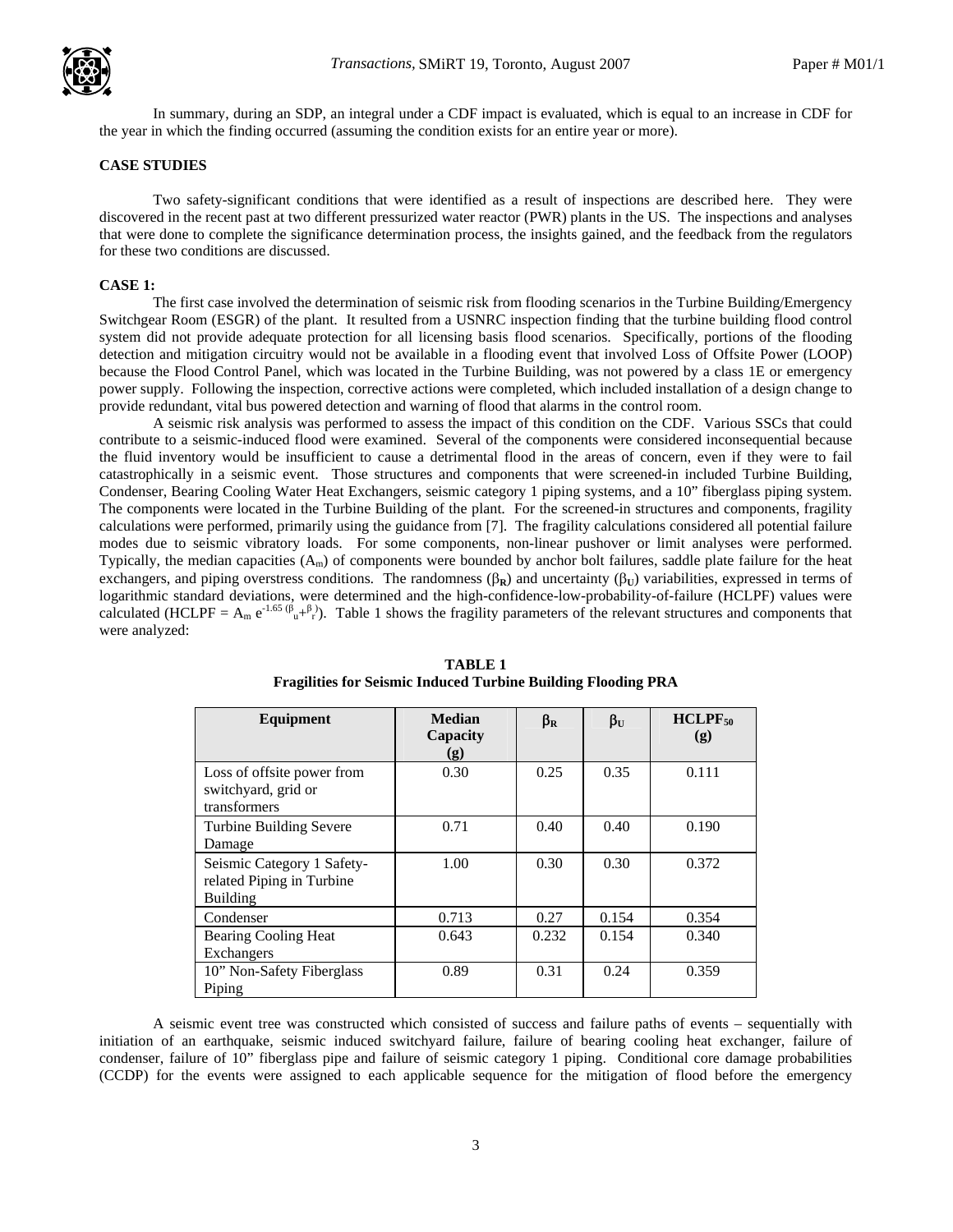

In summary, during an SDP, an integral under a CDF impact is evaluated, which is equal to an increase in CDF for the year in which the finding occurred (assuming the condition exists for an entire year or more).

## **CASE STUDIES**

Two safety-significant conditions that were identified as a result of inspections are described here. They were discovered in the recent past at two different pressurized water reactor (PWR) plants in the US. The inspections and analyses that were done to complete the significance determination process, the insights gained, and the feedback from the regulators for these two conditions are discussed.

#### **CASE 1:**

The first case involved the determination of seismic risk from flooding scenarios in the Turbine Building/Emergency Switchgear Room (ESGR) of the plant. It resulted from a USNRC inspection finding that the turbine building flood control system did not provide adequate protection for all licensing basis flood scenarios. Specifically, portions of the flooding detection and mitigation circuitry would not be available in a flooding event that involved Loss of Offsite Power (LOOP) because the Flood Control Panel, which was located in the Turbine Building, was not powered by a class 1E or emergency power supply. Following the inspection, corrective actions were completed, which included installation of a design change to provide redundant, vital bus powered detection and warning of flood that alarms in the control room.

A seismic risk analysis was performed to assess the impact of this condition on the CDF. Various SSCs that could contribute to a seismic-induced flood were examined. Several of the components were considered inconsequential because the fluid inventory would be insufficient to cause a detrimental flood in the areas of concern, even if they were to fail catastrophically in a seismic event. Those structures and components that were screened-in included Turbine Building, Condenser, Bearing Cooling Water Heat Exchangers, seismic category 1 piping systems, and a 10" fiberglass piping system. The components were located in the Turbine Building of the plant. For the screened-in structures and components, fragility calculations were performed, primarily using the guidance from [7]. The fragility calculations considered all potential failure modes due to seismic vibratory loads. For some components, non-linear pushover or limit analyses were performed. Typically, the median capacities  $(A_m)$  of components were bounded by anchor bolt failures, saddle plate failure for the heat exchangers, and piping overstress conditions. The randomness  $(\beta_R)$  and uncertainty  $(\beta_U)$  variabilities, expressed in terms of logarithmic standard deviations, were determined and the high-confidence-low-probability-of-failure (HCLPF) values were calculated (HCLPF =  $A_m e^{-1.65 (\beta_u + \beta)}$ ). Table 1 shows the fragility parameters of the relevant structures and components that were analyzed:

| Equipment                                                           | <b>Median</b><br>Capacity<br>(g) | $\beta_R$ | $\beta_{\mathrm{U}}$ | $HCLPF_{50}$<br>(g) |
|---------------------------------------------------------------------|----------------------------------|-----------|----------------------|---------------------|
| Loss of offsite power from<br>switchyard, grid or<br>transformers   | 0.30                             | 0.25      | 0.35                 | 0.111               |
| Turbine Building Severe<br>Damage                                   | 0.71                             | 0.40      | 0.40                 | 0.190               |
| Seismic Category 1 Safety-<br>related Piping in Turbine<br>Building | 1.00                             | 0.30      | 0.30                 | 0.372               |
| Condenser                                                           | 0.713                            | 0.27      | 0.154                | 0.354               |
| Bearing Cooling Heat<br>Exchangers                                  | 0.643                            | 0.232     | 0.154                | 0.340               |
| 10" Non-Safety Fiberglass<br>Piping                                 | 0.89                             | 0.31      | 0.24                 | 0.359               |

#### **TABLE 1 Fragilities for Seismic Induced Turbine Building Flooding PRA**

A seismic event tree was constructed which consisted of success and failure paths of events – sequentially with initiation of an earthquake, seismic induced switchyard failure, failure of bearing cooling heat exchanger, failure of condenser, failure of 10" fiberglass pipe and failure of seismic category 1 piping. Conditional core damage probabilities (CCDP) for the events were assigned to each applicable sequence for the mitigation of flood before the emergency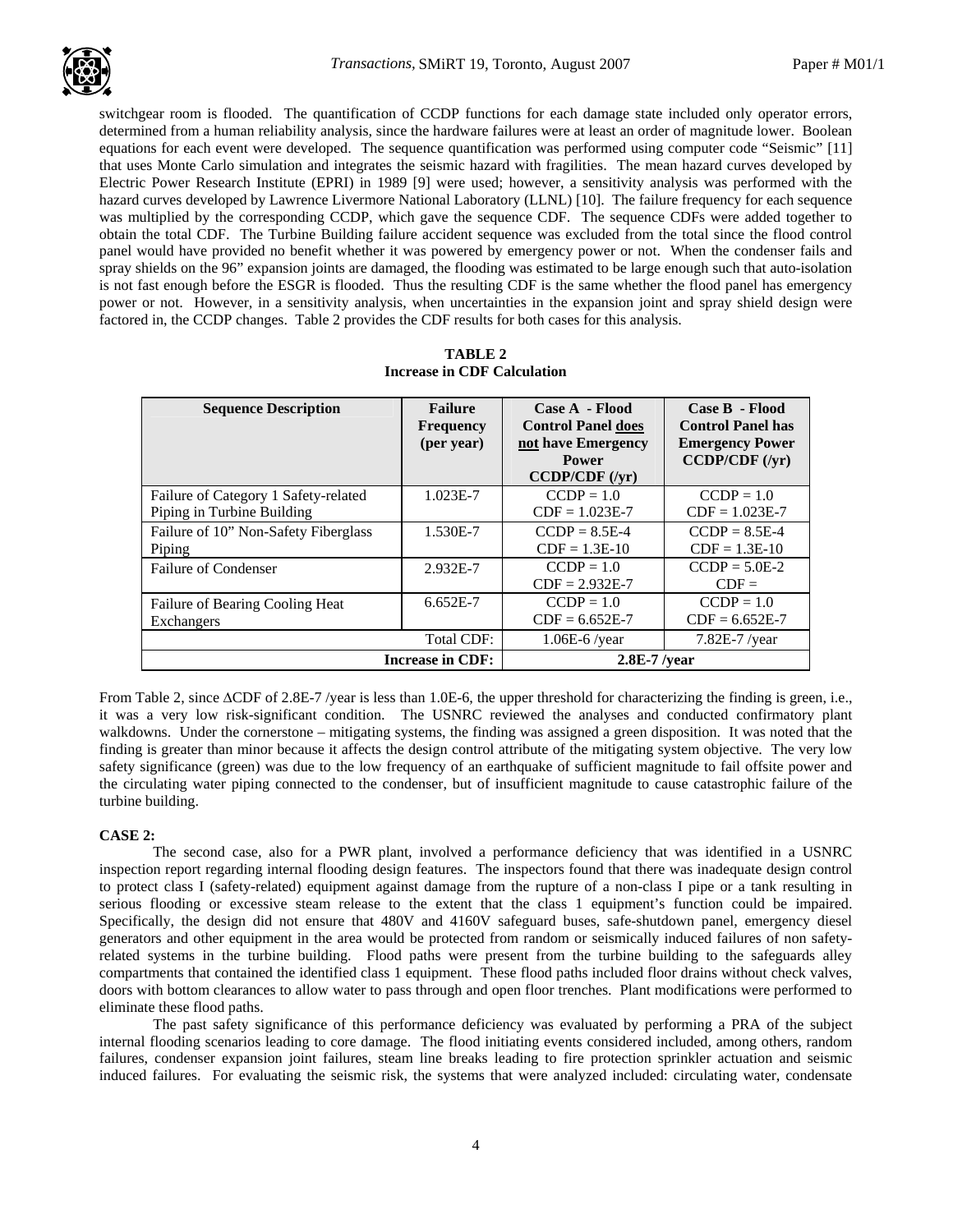switchgear room is flooded. The quantification of CCDP functions for each damage state included only operator errors, determined from a human reliability analysis, since the hardware failures were at least an order of magnitude lower. Boolean equations for each event were developed. The sequence quantification was performed using computer code "Seismic" [11] that uses Monte Carlo simulation and integrates the seismic hazard with fragilities. The mean hazard curves developed by Electric Power Research Institute (EPRI) in 1989 [9] were used; however, a sensitivity analysis was performed with the hazard curves developed by Lawrence Livermore National Laboratory (LLNL) [10]. The failure frequency for each sequence was multiplied by the corresponding CCDP, which gave the sequence CDF. The sequence CDFs were added together to obtain the total CDF. The Turbine Building failure accident sequence was excluded from the total since the flood control panel would have provided no benefit whether it was powered by emergency power or not. When the condenser fails and spray shields on the 96" expansion joints are damaged, the flooding was estimated to be large enough such that auto-isolation is not fast enough before the ESGR is flooded. Thus the resulting CDF is the same whether the flood panel has emergency power or not. However, in a sensitivity analysis, when uncertainties in the expansion joint and spray shield design were factored in, the CCDP changes. Table 2 provides the CDF results for both cases for this analysis.

| <b>Sequence Description</b>          | <b>Failure</b><br><b>Frequency</b><br>(per year) | Case A - Flood<br><b>Control Panel does</b><br>not have Emergency<br>Power<br>CCDP/CDF (/yr) | Case B - Flood<br><b>Control Panel has</b><br><b>Emergency Power</b><br>CCDP/CDF (/yr) |  |
|--------------------------------------|--------------------------------------------------|----------------------------------------------------------------------------------------------|----------------------------------------------------------------------------------------|--|
| Failure of Category 1 Safety-related | 1.023E-7                                         | $CCDP = 1.0$<br>$CDF = 1.023E-7$                                                             | $CCDP = 1.0$                                                                           |  |
| Piping in Turbine Building           |                                                  |                                                                                              | $CDF = 1.023E-7$                                                                       |  |
| Failure of 10" Non-Safety Fiberglass | 1.530E-7                                         | $CCDP = 8.5E-4$                                                                              | $CCDP = 8.5E-4$                                                                        |  |
| Piping                               |                                                  | $CDF = 1.3E-10$                                                                              | $CDF = 1.3E-10$                                                                        |  |
| Failure of Condenser                 | 2.932E-7                                         | $CCDP = 1.0$                                                                                 | $CCDP = 5.0E-2$                                                                        |  |
|                                      |                                                  | $CDF = 2.932E-7$                                                                             | $CDF =$                                                                                |  |
| Failure of Bearing Cooling Heat      | 6.652E-7                                         | $CCDP = 1.0$                                                                                 | $CCDP = 1.0$                                                                           |  |
| Exchangers                           |                                                  | $CDF = 6.652E-7$                                                                             | $CDF = 6.652E-7$                                                                       |  |
|                                      | Total CDF:                                       | $1.06E-6$ /year                                                                              | 7.82E-7 /year                                                                          |  |
| <b>Increase in CDF:</b>              |                                                  | $2.8E-7$ /year                                                                               |                                                                                        |  |

| TABLE 2                            |
|------------------------------------|
| <b>Increase in CDF Calculation</b> |

From Table 2, since ∆CDF of 2.8E-7 /year is less than 1.0E-6, the upper threshold for characterizing the finding is green, i.e., it was a very low risk-significant condition. The USNRC reviewed the analyses and conducted confirmatory plant walkdowns. Under the cornerstone – mitigating systems, the finding was assigned a green disposition. It was noted that the finding is greater than minor because it affects the design control attribute of the mitigating system objective. The very low safety significance (green) was due to the low frequency of an earthquake of sufficient magnitude to fail offsite power and the circulating water piping connected to the condenser, but of insufficient magnitude to cause catastrophic failure of the turbine building.

## **CASE 2:**

The second case, also for a PWR plant, involved a performance deficiency that was identified in a USNRC inspection report regarding internal flooding design features. The inspectors found that there was inadequate design control to protect class I (safety-related) equipment against damage from the rupture of a non-class I pipe or a tank resulting in serious flooding or excessive steam release to the extent that the class 1 equipment's function could be impaired. Specifically, the design did not ensure that 480V and 4160V safeguard buses, safe-shutdown panel, emergency diesel generators and other equipment in the area would be protected from random or seismically induced failures of non safetyrelated systems in the turbine building. Flood paths were present from the turbine building to the safeguards alley compartments that contained the identified class 1 equipment. These flood paths included floor drains without check valves, doors with bottom clearances to allow water to pass through and open floor trenches. Plant modifications were performed to eliminate these flood paths.

The past safety significance of this performance deficiency was evaluated by performing a PRA of the subject internal flooding scenarios leading to core damage. The flood initiating events considered included, among others, random failures, condenser expansion joint failures, steam line breaks leading to fire protection sprinkler actuation and seismic induced failures. For evaluating the seismic risk, the systems that were analyzed included: circulating water, condensate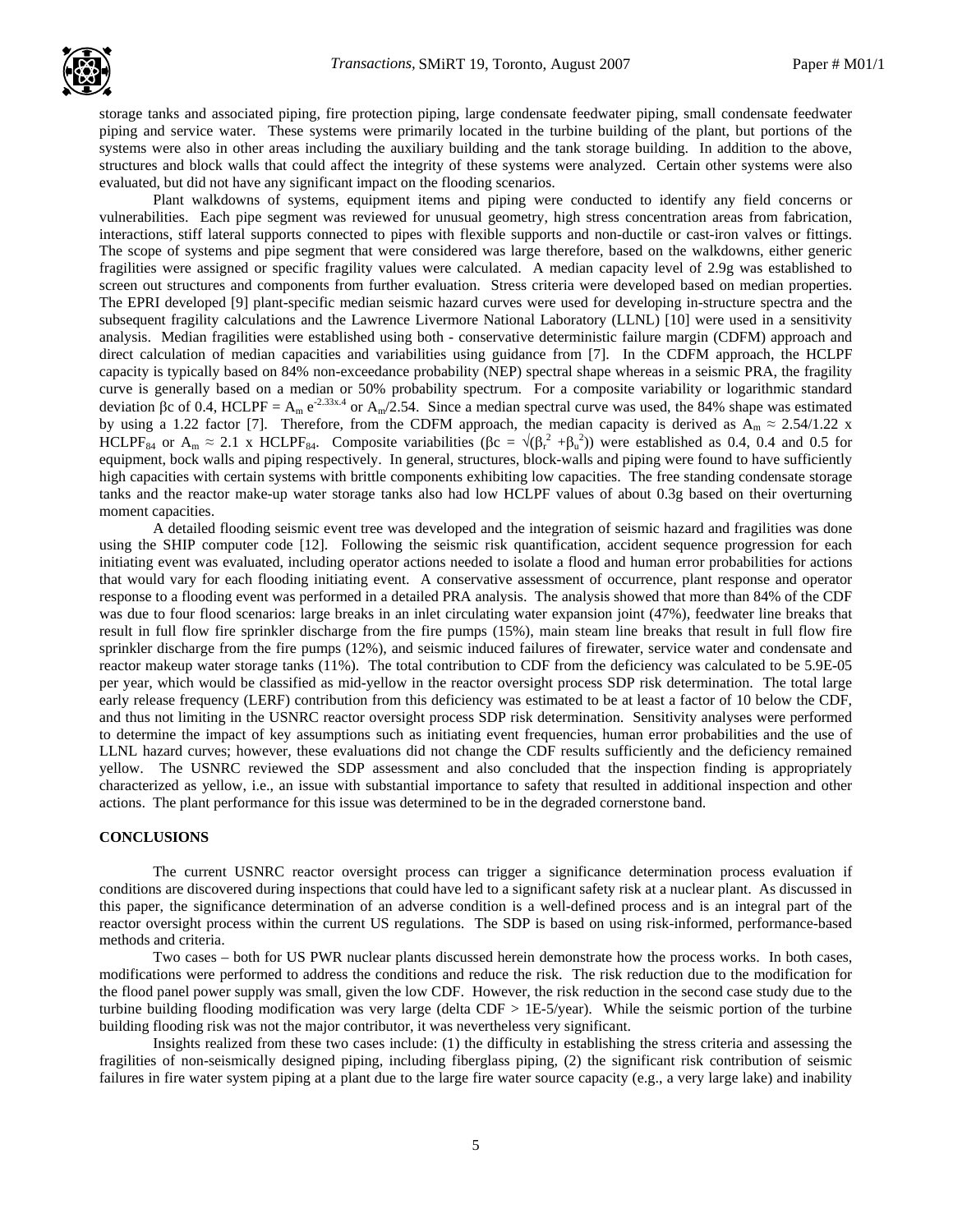

storage tanks and associated piping, fire protection piping, large condensate feedwater piping, small condensate feedwater . piping and service water. These systems were primarily located in the turbine building of the plant, but portions of the systems were also in other areas including the auxiliary building and the tank storage building. In addition to the above, structures and block walls that could affect the integrity of these systems were analyzed. Certain other systems were also evaluated, but did not have any significant impact on the flooding scenarios.

Plant walkdowns of systems, equipment items and piping were conducted to identify any field concerns or vulnerabilities. Each pipe segment was reviewed for unusual geometry, high stress concentration areas from fabrication, interactions, stiff lateral supports connected to pipes with flexible supports and non-ductile or cast-iron valves or fittings. The scope of systems and pipe segment that were considered was large therefore, based on the walkdowns, either generic fragilities were assigned or specific fragility values were calculated. A median capacity level of 2.9g was established to screen out structures and components from further evaluation. Stress criteria were developed based on median properties. The EPRI developed [9] plant-specific median seismic hazard curves were used for developing in-structure spectra and the subsequent fragility calculations and the Lawrence Livermore National Laboratory (LLNL) [10] were used in a sensitivity analysis. Median fragilities were established using both - conservative deterministic failure margin (CDFM) approach and direct calculation of median capacities and variabilities using guidance from [7]. In the CDFM approach, the HCLPF capacity is typically based on 84% non-exceedance probability (NEP) spectral shape whereas in a seismic PRA, the fragility curve is generally based on a median or 50% probability spectrum. For a composite variability or logarithmic standard deviation βc of 0.4, HCLPF =  $A_m e^{2.33x.4}$  or  $A_m/2.54$ . Since a median spectral curve was used, the 84% shape was estimated by using a 1.22 factor [7]. Therefore, from the CDFM approach, the median capacity is derived as  $A_m \approx 2.54/1.22$  x HCLPF<sub>84</sub> or  $A_m \approx 2.1$  x HCLPF<sub>84</sub>. Composite variabilities ( $\beta c = \sqrt{(\beta_r^2 + \beta_u^2)}$ ) were established as 0.4, 0.4 and 0.5 for equipment, bock walls and piping respectively. In general, structures, block-walls and piping were found to have sufficiently high capacities with certain systems with brittle components exhibiting low capacities. The free standing condensate storage tanks and the reactor make-up water storage tanks also had low HCLPF values of about 0.3g based on their overturning moment capacities.

A detailed flooding seismic event tree was developed and the integration of seismic hazard and fragilities was done using the SHIP computer code [12]. Following the seismic risk quantification, accident sequence progression for each initiating event was evaluated, including operator actions needed to isolate a flood and human error probabilities for actions that would vary for each flooding initiating event. A conservative assessment of occurrence, plant response and operator response to a flooding event was performed in a detailed PRA analysis. The analysis showed that more than 84% of the CDF was due to four flood scenarios: large breaks in an inlet circulating water expansion joint (47%), feedwater line breaks that result in full flow fire sprinkler discharge from the fire pumps (15%), main steam line breaks that result in full flow fire sprinkler discharge from the fire pumps (12%), and seismic induced failures of firewater, service water and condensate and reactor makeup water storage tanks (11%). The total contribution to CDF from the deficiency was calculated to be 5.9E-05 per year, which would be classified as mid-yellow in the reactor oversight process SDP risk determination. The total large early release frequency (LERF) contribution from this deficiency was estimated to be at least a factor of 10 below the CDF, and thus not limiting in the USNRC reactor oversight process SDP risk determination. Sensitivity analyses were performed to determine the impact of key assumptions such as initiating event frequencies, human error probabilities and the use of LLNL hazard curves; however, these evaluations did not change the CDF results sufficiently and the deficiency remained yellow. The USNRC reviewed the SDP assessment and also concluded that the inspection finding is appropriately characterized as yellow, i.e., an issue with substantial importance to safety that resulted in additional inspection and other actions. The plant performance for this issue was determined to be in the degraded cornerstone band.

#### **CONCLUSIONS**

The current USNRC reactor oversight process can trigger a significance determination process evaluation if conditions are discovered during inspections that could have led to a significant safety risk at a nuclear plant. As discussed in this paper, the significance determination of an adverse condition is a well-defined process and is an integral part of the reactor oversight process within the current US regulations. The SDP is based on using risk-informed, performance-based methods and criteria.

Two cases – both for US PWR nuclear plants discussed herein demonstrate how the process works. In both cases, modifications were performed to address the conditions and reduce the risk. The risk reduction due to the modification for the flood panel power supply was small, given the low CDF. However, the risk reduction in the second case study due to the turbine building flooding modification was very large (delta CDF > 1E-5/year). While the seismic portion of the turbine building flooding risk was not the major contributor, it was nevertheless very significant.

Insights realized from these two cases include: (1) the difficulty in establishing the stress criteria and assessing the fragilities of non-seismically designed piping, including fiberglass piping, (2) the significant risk contribution of seismic failures in fire water system piping at a plant due to the large fire water source capacity (e.g., a very large lake) and inability